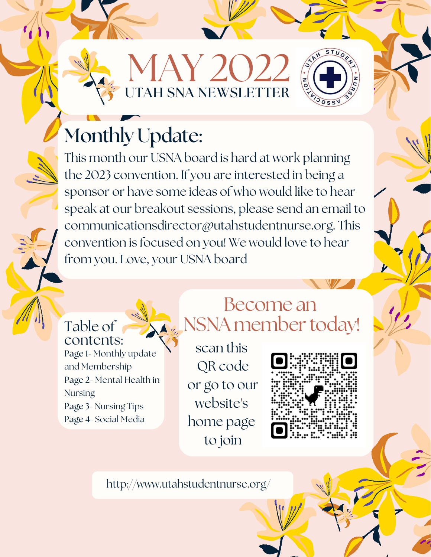MAY 2022 UTAH SNA NEWSLETTER



### Monthly Update:

This month our USNA board is hard at work planning the 2023 convention. If you are interested in being a sponsor or have some ideas of who would like to hear speak at our breakout sessions, please send an email to communicationsdirector@utahstudentnurse.org. This convention is focused on you! We would love to hear from you. Love, your USNA board

#### Table of contents:

Page 1- Monthly update and Membership Page 2- Mental Health in **Nursing** Page 3- Nursing Tips Page 4- Social Media

#### Become an NSNA member today!

scan this QR code or go to our website's home page to join



http://www.utahstudentnurse.org/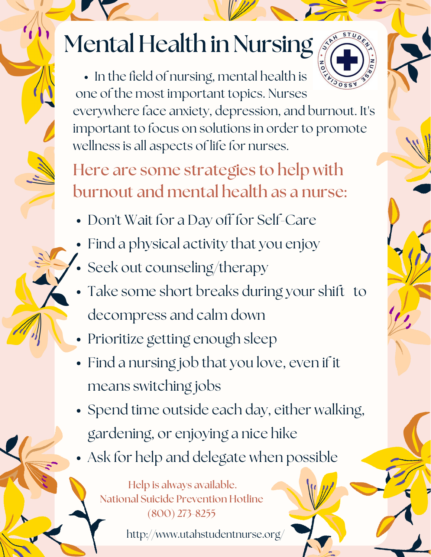## Mental Health in Nursing

• In the field of nursing, mental health is  $\sqrt{3055}$ one of the most important topics. Nurses everywhere face anxiety, depression, and burnout. It's important to focus on solutions in order to promote wellness is all aspects of life for nurses.

Here are some strategies to help with burnout and mental health as a nurse:

- Don't Wait for a Day off for Self-Care
- Find a physical activity that you enjoy
- Seek out counseling/therapy
- Take some short breaks during your shift to decompress and calm down
- Prioritize getting enough sleep
- Find a nursing job that you love, even if it means switching jobs
- Spend time outside each day, either walking, gardening, or enjoying a nice hike
- Ask for help and delegate when possible

Help is always available. National Suicide Prevention Hotline (800) 273-8255

http://www.utahstudentnurse.org/

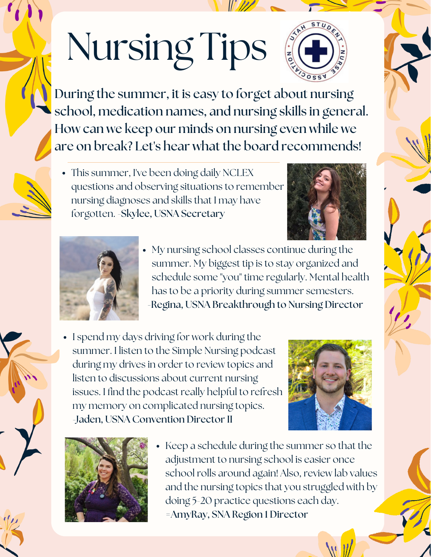# Nursing Tips



During the summer, it is easy to forget about nursing school, medication names, and nursing skills in general. How can we keep our minds on nursing even while we are on break? Let's hear what the board recommends!

• This summer, I've been doing daily NCLEX questions and observing situations to remember nursing diagnoses and skills that I may have forgotten. -Skylee, USNA Secretary





- My nursing school classes continue during the summer. My biggest tip is to stay organized and schedule some "you" time regularly. Mental health has to be a priority during summer semesters. -Regina, USNA Breakthrough to Nursing Director
- I spend my days driving for work during the summer. I listen to the Simple Nursing podcast during my drives in order to review topics and listen to discussions about current nursing issues. I find the podcast really helpful to refresh my memory on complicated nursing topics. -Jaden, USNA Convention Director II





• Keep a schedule during the summer so that the adjustment to nursing school is easier once school rolls around again! Also, review lab values and the nursing topics that you struggled with by doing 5-20 practice questions each day. =AmyRay, SNA Region 1 Director